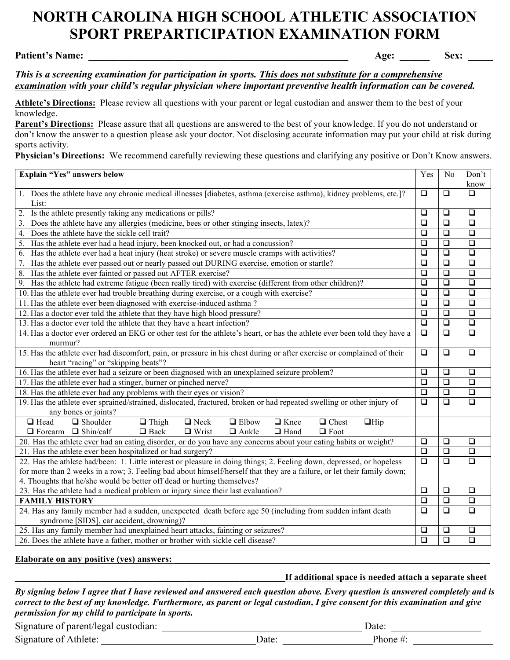# **NORTH CAROLINA HIGH SCHOOL ATHLETIC ASSOCIATION SPORT PREPARTICIPATION EXAMINATION FORM**

#### **Patient's Name:** \_\_\_\_\_\_\_\_\_\_\_\_\_\_\_\_\_\_\_\_\_\_\_\_\_\_\_\_\_\_\_\_\_\_\_\_\_\_\_\_\_\_\_\_\_\_\_\_\_\_\_\_ **Age:** \_\_\_\_\_\_ **Sex: \_\_\_\_\_**

## *This is a screening examination for participation in sports. This does not substitute for a comprehensive examination with your child's regular physician where important preventive health information can be covered.*

**Athlete's Directions:** Please review all questions with your parent or legal custodian and answer them to the best of your knowledge.

Parent's Directions: Please assure that all questions are answered to the best of your knowledge. If you do not understand or don't know the answer to a question please ask your doctor. Not disclosing accurate information may put your child at risk during sports activity.

**Physician's Directions:** We recommend carefully reviewing these questions and clarifying any positive or Don't Know answers.

| know<br>1. Does the athlete have any chronic medical illnesses [diabetes, asthma (exercise asthma), kidney problems, etc.]?<br>$\Box$<br>$\Box$<br>$\Box$<br>List:<br>Is the athlete presently taking any medications or pills?<br>$\Box$<br>$\Box$<br>$\Box$<br>3. Does the athlete have any allergies (medicine, bees or other stinging insects, latex)?<br>$\Box$<br>$\Box$<br>$\Box$<br>$\Box$<br>$\Box$<br>$\Box$<br>$\Box$<br>$\Box$<br>$\Box$<br>$\Box$<br>$\Box$<br>$\Box$<br>Has the athlete ever had a heat injury (heat stroke) or severe muscle cramps with activities?<br>$\Box$<br>$\Box$<br>$\Box$<br>Has the athlete ever passed out or nearly passed out DURING exercise, emotion or startle?<br>Has the athlete ever fainted or passed out AFTER exercise?<br>$\Box$<br>$\Box$<br>$\Box$<br>Has the athlete had extreme fatigue (been really tired) with exercise (different from other children)?<br>$\Box$<br>$\Box$<br>$\Box$<br>10. Has the athlete ever had trouble breathing during exercise, or a cough with exercise?<br>$\Box$<br>$\Box$<br>$\Box$<br>$\Box$<br>$\Box$<br>$\Box$<br>$\Box$<br>$\Box$<br>$\Box$<br>$\Box$<br>$\Box$<br>13. Has a doctor ever told the athlete that they have a heart infection?<br>$\Box$<br>14. Has a doctor ever ordered an EKG or other test for the athlete's heart, or has the athlete ever been told they have a<br>$\Box$<br>$\Box$<br>$\Box$<br>murmur?<br>15. Has the athlete ever had discomfort, pain, or pressure in his chest during or after exercise or complained of their<br>$\Box$<br>$\Box$<br>$\Box$<br>heart "racing" or "skipping beats"?<br>16. Has the athlete ever had a seizure or been diagnosed with an unexplained seizure problem?<br>$\Box$<br>$\Box$<br>$\Box$<br>$\Box$<br>$\Box$<br>17. Has the athlete ever had a stinger, burner or pinched nerve?<br>□<br>$\overline{\square}$<br>18. Has the athlete ever had any problems with their eyes or vision?<br>$\Box$<br>$\Box$<br>$\overline{\square}$<br>$\overline{\square}$<br>19. Has the athlete ever sprained/strained, dislocated, fractured, broken or had repeated swelling or other injury of<br>$\Box$<br>any bones or joints?<br>$\Box$ Head<br>$\Box$ Knee<br>$\Box$ Chest<br>$\Box$ Shoulder<br>$\Box$ Thigh<br>$\Box$ Neck<br>$\Box$ Elbow<br>$\Box$ Hip<br>$\Box$ Forearm $\Box$ Shin/calf<br>$\Box$ Back<br>$\Box$ Wrist<br>$\Box$ Ankle<br>$\Box$ Hand<br>$\Box$ Foot<br>20. Has the athlete ever had an eating disorder, or do you have any concerns about your eating habits or weight?<br>$\Box$<br>$\Box$<br>$\Box$<br>$\Box$<br>$\Box$<br>21. Has the athlete ever been hospitalized or had surgery?<br>$\Box$<br>22. Has the athlete had/been: 1. Little interest or pleasure in doing things; 2. Feeling down, depressed, or hopeless<br>$\Box$<br>$\Box$<br>$\Box$<br>for more than 2 weeks in a row; 3. Feeling bad about himself/herself that they are a failure, or let their family down;<br>4. Thoughts that he/she would be better off dead or hurting themselves?<br>$\Box$<br>$\Box$<br>23. Has the athlete had a medical problem or injury since their last evaluation?<br>$\Box$<br>$\overline{\square}$<br><b>FAMILY HISTORY</b><br>$\Box$<br>$\Box$<br>24. Has any family member had a sudden, unexpected death before age 50 (including from sudden infant death<br>$\Box$<br>$\Box$<br>$\Box$<br>syndrome [SIDS], car accident, drowning)?<br>25. Has any family member had unexplained heart attacks, fainting or seizures?<br>$\Box$<br>$\Box$<br>❏ | Explain "Yes" answers below                                                       | Yes    | No     | Don't  |
|------------------------------------------------------------------------------------------------------------------------------------------------------------------------------------------------------------------------------------------------------------------------------------------------------------------------------------------------------------------------------------------------------------------------------------------------------------------------------------------------------------------------------------------------------------------------------------------------------------------------------------------------------------------------------------------------------------------------------------------------------------------------------------------------------------------------------------------------------------------------------------------------------------------------------------------------------------------------------------------------------------------------------------------------------------------------------------------------------------------------------------------------------------------------------------------------------------------------------------------------------------------------------------------------------------------------------------------------------------------------------------------------------------------------------------------------------------------------------------------------------------------------------------------------------------------------------------------------------------------------------------------------------------------------------------------------------------------------------------------------------------------------------------------------------------------------------------------------------------------------------------------------------------------------------------------------------------------------------------------------------------------------------------------------------------------------------------------------------------------------------------------------------------------------------------------------------------------------------------------------------------------------------------------------------------------------------------------------------------------------------------------------------------------------------------------------------------------------------------------------------------------------------------------------------------------------------------------------------------------------------------------------------------------------------------------------------------------------------------------------------------------------------------------------------------------------------------------------------------------------------------------------------------------------------------------------------------------------------------------------------------------------------------------------------------------------------------------------------------------------------------------------------------------------------------------------------------------------------------------------------------------------------------------------------------------------------------------------------------------------------------------------------------------------------------------------------------------------------------------------------------------------------------------|-----------------------------------------------------------------------------------|--------|--------|--------|
|                                                                                                                                                                                                                                                                                                                                                                                                                                                                                                                                                                                                                                                                                                                                                                                                                                                                                                                                                                                                                                                                                                                                                                                                                                                                                                                                                                                                                                                                                                                                                                                                                                                                                                                                                                                                                                                                                                                                                                                                                                                                                                                                                                                                                                                                                                                                                                                                                                                                                                                                                                                                                                                                                                                                                                                                                                                                                                                                                                                                                                                                                                                                                                                                                                                                                                                                                                                                                                                                                                                                          |                                                                                   |        |        |        |
|                                                                                                                                                                                                                                                                                                                                                                                                                                                                                                                                                                                                                                                                                                                                                                                                                                                                                                                                                                                                                                                                                                                                                                                                                                                                                                                                                                                                                                                                                                                                                                                                                                                                                                                                                                                                                                                                                                                                                                                                                                                                                                                                                                                                                                                                                                                                                                                                                                                                                                                                                                                                                                                                                                                                                                                                                                                                                                                                                                                                                                                                                                                                                                                                                                                                                                                                                                                                                                                                                                                                          |                                                                                   |        |        |        |
|                                                                                                                                                                                                                                                                                                                                                                                                                                                                                                                                                                                                                                                                                                                                                                                                                                                                                                                                                                                                                                                                                                                                                                                                                                                                                                                                                                                                                                                                                                                                                                                                                                                                                                                                                                                                                                                                                                                                                                                                                                                                                                                                                                                                                                                                                                                                                                                                                                                                                                                                                                                                                                                                                                                                                                                                                                                                                                                                                                                                                                                                                                                                                                                                                                                                                                                                                                                                                                                                                                                                          |                                                                                   |        |        |        |
|                                                                                                                                                                                                                                                                                                                                                                                                                                                                                                                                                                                                                                                                                                                                                                                                                                                                                                                                                                                                                                                                                                                                                                                                                                                                                                                                                                                                                                                                                                                                                                                                                                                                                                                                                                                                                                                                                                                                                                                                                                                                                                                                                                                                                                                                                                                                                                                                                                                                                                                                                                                                                                                                                                                                                                                                                                                                                                                                                                                                                                                                                                                                                                                                                                                                                                                                                                                                                                                                                                                                          |                                                                                   |        |        |        |
|                                                                                                                                                                                                                                                                                                                                                                                                                                                                                                                                                                                                                                                                                                                                                                                                                                                                                                                                                                                                                                                                                                                                                                                                                                                                                                                                                                                                                                                                                                                                                                                                                                                                                                                                                                                                                                                                                                                                                                                                                                                                                                                                                                                                                                                                                                                                                                                                                                                                                                                                                                                                                                                                                                                                                                                                                                                                                                                                                                                                                                                                                                                                                                                                                                                                                                                                                                                                                                                                                                                                          | 4. Does the athlete have the sickle cell trait?                                   |        |        |        |
|                                                                                                                                                                                                                                                                                                                                                                                                                                                                                                                                                                                                                                                                                                                                                                                                                                                                                                                                                                                                                                                                                                                                                                                                                                                                                                                                                                                                                                                                                                                                                                                                                                                                                                                                                                                                                                                                                                                                                                                                                                                                                                                                                                                                                                                                                                                                                                                                                                                                                                                                                                                                                                                                                                                                                                                                                                                                                                                                                                                                                                                                                                                                                                                                                                                                                                                                                                                                                                                                                                                                          | 5. Has the athlete ever had a head injury, been knocked out, or had a concussion? |        |        |        |
|                                                                                                                                                                                                                                                                                                                                                                                                                                                                                                                                                                                                                                                                                                                                                                                                                                                                                                                                                                                                                                                                                                                                                                                                                                                                                                                                                                                                                                                                                                                                                                                                                                                                                                                                                                                                                                                                                                                                                                                                                                                                                                                                                                                                                                                                                                                                                                                                                                                                                                                                                                                                                                                                                                                                                                                                                                                                                                                                                                                                                                                                                                                                                                                                                                                                                                                                                                                                                                                                                                                                          | 6.                                                                                |        |        |        |
|                                                                                                                                                                                                                                                                                                                                                                                                                                                                                                                                                                                                                                                                                                                                                                                                                                                                                                                                                                                                                                                                                                                                                                                                                                                                                                                                                                                                                                                                                                                                                                                                                                                                                                                                                                                                                                                                                                                                                                                                                                                                                                                                                                                                                                                                                                                                                                                                                                                                                                                                                                                                                                                                                                                                                                                                                                                                                                                                                                                                                                                                                                                                                                                                                                                                                                                                                                                                                                                                                                                                          | 7.                                                                                |        |        |        |
|                                                                                                                                                                                                                                                                                                                                                                                                                                                                                                                                                                                                                                                                                                                                                                                                                                                                                                                                                                                                                                                                                                                                                                                                                                                                                                                                                                                                                                                                                                                                                                                                                                                                                                                                                                                                                                                                                                                                                                                                                                                                                                                                                                                                                                                                                                                                                                                                                                                                                                                                                                                                                                                                                                                                                                                                                                                                                                                                                                                                                                                                                                                                                                                                                                                                                                                                                                                                                                                                                                                                          | 8.                                                                                |        |        |        |
|                                                                                                                                                                                                                                                                                                                                                                                                                                                                                                                                                                                                                                                                                                                                                                                                                                                                                                                                                                                                                                                                                                                                                                                                                                                                                                                                                                                                                                                                                                                                                                                                                                                                                                                                                                                                                                                                                                                                                                                                                                                                                                                                                                                                                                                                                                                                                                                                                                                                                                                                                                                                                                                                                                                                                                                                                                                                                                                                                                                                                                                                                                                                                                                                                                                                                                                                                                                                                                                                                                                                          | 9.                                                                                |        |        |        |
|                                                                                                                                                                                                                                                                                                                                                                                                                                                                                                                                                                                                                                                                                                                                                                                                                                                                                                                                                                                                                                                                                                                                                                                                                                                                                                                                                                                                                                                                                                                                                                                                                                                                                                                                                                                                                                                                                                                                                                                                                                                                                                                                                                                                                                                                                                                                                                                                                                                                                                                                                                                                                                                                                                                                                                                                                                                                                                                                                                                                                                                                                                                                                                                                                                                                                                                                                                                                                                                                                                                                          |                                                                                   |        |        |        |
|                                                                                                                                                                                                                                                                                                                                                                                                                                                                                                                                                                                                                                                                                                                                                                                                                                                                                                                                                                                                                                                                                                                                                                                                                                                                                                                                                                                                                                                                                                                                                                                                                                                                                                                                                                                                                                                                                                                                                                                                                                                                                                                                                                                                                                                                                                                                                                                                                                                                                                                                                                                                                                                                                                                                                                                                                                                                                                                                                                                                                                                                                                                                                                                                                                                                                                                                                                                                                                                                                                                                          | 11. Has the athlete ever been diagnosed with exercise-induced asthma?             |        |        |        |
|                                                                                                                                                                                                                                                                                                                                                                                                                                                                                                                                                                                                                                                                                                                                                                                                                                                                                                                                                                                                                                                                                                                                                                                                                                                                                                                                                                                                                                                                                                                                                                                                                                                                                                                                                                                                                                                                                                                                                                                                                                                                                                                                                                                                                                                                                                                                                                                                                                                                                                                                                                                                                                                                                                                                                                                                                                                                                                                                                                                                                                                                                                                                                                                                                                                                                                                                                                                                                                                                                                                                          | 12. Has a doctor ever told the athlete that they have high blood pressure?        |        |        |        |
|                                                                                                                                                                                                                                                                                                                                                                                                                                                                                                                                                                                                                                                                                                                                                                                                                                                                                                                                                                                                                                                                                                                                                                                                                                                                                                                                                                                                                                                                                                                                                                                                                                                                                                                                                                                                                                                                                                                                                                                                                                                                                                                                                                                                                                                                                                                                                                                                                                                                                                                                                                                                                                                                                                                                                                                                                                                                                                                                                                                                                                                                                                                                                                                                                                                                                                                                                                                                                                                                                                                                          |                                                                                   |        |        |        |
|                                                                                                                                                                                                                                                                                                                                                                                                                                                                                                                                                                                                                                                                                                                                                                                                                                                                                                                                                                                                                                                                                                                                                                                                                                                                                                                                                                                                                                                                                                                                                                                                                                                                                                                                                                                                                                                                                                                                                                                                                                                                                                                                                                                                                                                                                                                                                                                                                                                                                                                                                                                                                                                                                                                                                                                                                                                                                                                                                                                                                                                                                                                                                                                                                                                                                                                                                                                                                                                                                                                                          |                                                                                   |        |        |        |
|                                                                                                                                                                                                                                                                                                                                                                                                                                                                                                                                                                                                                                                                                                                                                                                                                                                                                                                                                                                                                                                                                                                                                                                                                                                                                                                                                                                                                                                                                                                                                                                                                                                                                                                                                                                                                                                                                                                                                                                                                                                                                                                                                                                                                                                                                                                                                                                                                                                                                                                                                                                                                                                                                                                                                                                                                                                                                                                                                                                                                                                                                                                                                                                                                                                                                                                                                                                                                                                                                                                                          |                                                                                   |        |        |        |
|                                                                                                                                                                                                                                                                                                                                                                                                                                                                                                                                                                                                                                                                                                                                                                                                                                                                                                                                                                                                                                                                                                                                                                                                                                                                                                                                                                                                                                                                                                                                                                                                                                                                                                                                                                                                                                                                                                                                                                                                                                                                                                                                                                                                                                                                                                                                                                                                                                                                                                                                                                                                                                                                                                                                                                                                                                                                                                                                                                                                                                                                                                                                                                                                                                                                                                                                                                                                                                                                                                                                          |                                                                                   |        |        |        |
|                                                                                                                                                                                                                                                                                                                                                                                                                                                                                                                                                                                                                                                                                                                                                                                                                                                                                                                                                                                                                                                                                                                                                                                                                                                                                                                                                                                                                                                                                                                                                                                                                                                                                                                                                                                                                                                                                                                                                                                                                                                                                                                                                                                                                                                                                                                                                                                                                                                                                                                                                                                                                                                                                                                                                                                                                                                                                                                                                                                                                                                                                                                                                                                                                                                                                                                                                                                                                                                                                                                                          |                                                                                   |        |        |        |
|                                                                                                                                                                                                                                                                                                                                                                                                                                                                                                                                                                                                                                                                                                                                                                                                                                                                                                                                                                                                                                                                                                                                                                                                                                                                                                                                                                                                                                                                                                                                                                                                                                                                                                                                                                                                                                                                                                                                                                                                                                                                                                                                                                                                                                                                                                                                                                                                                                                                                                                                                                                                                                                                                                                                                                                                                                                                                                                                                                                                                                                                                                                                                                                                                                                                                                                                                                                                                                                                                                                                          |                                                                                   |        |        |        |
|                                                                                                                                                                                                                                                                                                                                                                                                                                                                                                                                                                                                                                                                                                                                                                                                                                                                                                                                                                                                                                                                                                                                                                                                                                                                                                                                                                                                                                                                                                                                                                                                                                                                                                                                                                                                                                                                                                                                                                                                                                                                                                                                                                                                                                                                                                                                                                                                                                                                                                                                                                                                                                                                                                                                                                                                                                                                                                                                                                                                                                                                                                                                                                                                                                                                                                                                                                                                                                                                                                                                          |                                                                                   |        |        |        |
|                                                                                                                                                                                                                                                                                                                                                                                                                                                                                                                                                                                                                                                                                                                                                                                                                                                                                                                                                                                                                                                                                                                                                                                                                                                                                                                                                                                                                                                                                                                                                                                                                                                                                                                                                                                                                                                                                                                                                                                                                                                                                                                                                                                                                                                                                                                                                                                                                                                                                                                                                                                                                                                                                                                                                                                                                                                                                                                                                                                                                                                                                                                                                                                                                                                                                                                                                                                                                                                                                                                                          |                                                                                   |        |        |        |
|                                                                                                                                                                                                                                                                                                                                                                                                                                                                                                                                                                                                                                                                                                                                                                                                                                                                                                                                                                                                                                                                                                                                                                                                                                                                                                                                                                                                                                                                                                                                                                                                                                                                                                                                                                                                                                                                                                                                                                                                                                                                                                                                                                                                                                                                                                                                                                                                                                                                                                                                                                                                                                                                                                                                                                                                                                                                                                                                                                                                                                                                                                                                                                                                                                                                                                                                                                                                                                                                                                                                          |                                                                                   |        |        |        |
|                                                                                                                                                                                                                                                                                                                                                                                                                                                                                                                                                                                                                                                                                                                                                                                                                                                                                                                                                                                                                                                                                                                                                                                                                                                                                                                                                                                                                                                                                                                                                                                                                                                                                                                                                                                                                                                                                                                                                                                                                                                                                                                                                                                                                                                                                                                                                                                                                                                                                                                                                                                                                                                                                                                                                                                                                                                                                                                                                                                                                                                                                                                                                                                                                                                                                                                                                                                                                                                                                                                                          |                                                                                   |        |        |        |
|                                                                                                                                                                                                                                                                                                                                                                                                                                                                                                                                                                                                                                                                                                                                                                                                                                                                                                                                                                                                                                                                                                                                                                                                                                                                                                                                                                                                                                                                                                                                                                                                                                                                                                                                                                                                                                                                                                                                                                                                                                                                                                                                                                                                                                                                                                                                                                                                                                                                                                                                                                                                                                                                                                                                                                                                                                                                                                                                                                                                                                                                                                                                                                                                                                                                                                                                                                                                                                                                                                                                          |                                                                                   |        |        |        |
|                                                                                                                                                                                                                                                                                                                                                                                                                                                                                                                                                                                                                                                                                                                                                                                                                                                                                                                                                                                                                                                                                                                                                                                                                                                                                                                                                                                                                                                                                                                                                                                                                                                                                                                                                                                                                                                                                                                                                                                                                                                                                                                                                                                                                                                                                                                                                                                                                                                                                                                                                                                                                                                                                                                                                                                                                                                                                                                                                                                                                                                                                                                                                                                                                                                                                                                                                                                                                                                                                                                                          |                                                                                   |        |        |        |
|                                                                                                                                                                                                                                                                                                                                                                                                                                                                                                                                                                                                                                                                                                                                                                                                                                                                                                                                                                                                                                                                                                                                                                                                                                                                                                                                                                                                                                                                                                                                                                                                                                                                                                                                                                                                                                                                                                                                                                                                                                                                                                                                                                                                                                                                                                                                                                                                                                                                                                                                                                                                                                                                                                                                                                                                                                                                                                                                                                                                                                                                                                                                                                                                                                                                                                                                                                                                                                                                                                                                          |                                                                                   |        |        |        |
|                                                                                                                                                                                                                                                                                                                                                                                                                                                                                                                                                                                                                                                                                                                                                                                                                                                                                                                                                                                                                                                                                                                                                                                                                                                                                                                                                                                                                                                                                                                                                                                                                                                                                                                                                                                                                                                                                                                                                                                                                                                                                                                                                                                                                                                                                                                                                                                                                                                                                                                                                                                                                                                                                                                                                                                                                                                                                                                                                                                                                                                                                                                                                                                                                                                                                                                                                                                                                                                                                                                                          |                                                                                   |        |        |        |
|                                                                                                                                                                                                                                                                                                                                                                                                                                                                                                                                                                                                                                                                                                                                                                                                                                                                                                                                                                                                                                                                                                                                                                                                                                                                                                                                                                                                                                                                                                                                                                                                                                                                                                                                                                                                                                                                                                                                                                                                                                                                                                                                                                                                                                                                                                                                                                                                                                                                                                                                                                                                                                                                                                                                                                                                                                                                                                                                                                                                                                                                                                                                                                                                                                                                                                                                                                                                                                                                                                                                          |                                                                                   |        |        |        |
|                                                                                                                                                                                                                                                                                                                                                                                                                                                                                                                                                                                                                                                                                                                                                                                                                                                                                                                                                                                                                                                                                                                                                                                                                                                                                                                                                                                                                                                                                                                                                                                                                                                                                                                                                                                                                                                                                                                                                                                                                                                                                                                                                                                                                                                                                                                                                                                                                                                                                                                                                                                                                                                                                                                                                                                                                                                                                                                                                                                                                                                                                                                                                                                                                                                                                                                                                                                                                                                                                                                                          |                                                                                   |        |        |        |
|                                                                                                                                                                                                                                                                                                                                                                                                                                                                                                                                                                                                                                                                                                                                                                                                                                                                                                                                                                                                                                                                                                                                                                                                                                                                                                                                                                                                                                                                                                                                                                                                                                                                                                                                                                                                                                                                                                                                                                                                                                                                                                                                                                                                                                                                                                                                                                                                                                                                                                                                                                                                                                                                                                                                                                                                                                                                                                                                                                                                                                                                                                                                                                                                                                                                                                                                                                                                                                                                                                                                          |                                                                                   |        |        |        |
|                                                                                                                                                                                                                                                                                                                                                                                                                                                                                                                                                                                                                                                                                                                                                                                                                                                                                                                                                                                                                                                                                                                                                                                                                                                                                                                                                                                                                                                                                                                                                                                                                                                                                                                                                                                                                                                                                                                                                                                                                                                                                                                                                                                                                                                                                                                                                                                                                                                                                                                                                                                                                                                                                                                                                                                                                                                                                                                                                                                                                                                                                                                                                                                                                                                                                                                                                                                                                                                                                                                                          |                                                                                   |        |        |        |
|                                                                                                                                                                                                                                                                                                                                                                                                                                                                                                                                                                                                                                                                                                                                                                                                                                                                                                                                                                                                                                                                                                                                                                                                                                                                                                                                                                                                                                                                                                                                                                                                                                                                                                                                                                                                                                                                                                                                                                                                                                                                                                                                                                                                                                                                                                                                                                                                                                                                                                                                                                                                                                                                                                                                                                                                                                                                                                                                                                                                                                                                                                                                                                                                                                                                                                                                                                                                                                                                                                                                          |                                                                                   |        |        |        |
|                                                                                                                                                                                                                                                                                                                                                                                                                                                                                                                                                                                                                                                                                                                                                                                                                                                                                                                                                                                                                                                                                                                                                                                                                                                                                                                                                                                                                                                                                                                                                                                                                                                                                                                                                                                                                                                                                                                                                                                                                                                                                                                                                                                                                                                                                                                                                                                                                                                                                                                                                                                                                                                                                                                                                                                                                                                                                                                                                                                                                                                                                                                                                                                                                                                                                                                                                                                                                                                                                                                                          |                                                                                   |        |        |        |
|                                                                                                                                                                                                                                                                                                                                                                                                                                                                                                                                                                                                                                                                                                                                                                                                                                                                                                                                                                                                                                                                                                                                                                                                                                                                                                                                                                                                                                                                                                                                                                                                                                                                                                                                                                                                                                                                                                                                                                                                                                                                                                                                                                                                                                                                                                                                                                                                                                                                                                                                                                                                                                                                                                                                                                                                                                                                                                                                                                                                                                                                                                                                                                                                                                                                                                                                                                                                                                                                                                                                          | 26. Does the athlete have a father, mother or brother with sickle cell disease?   | $\Box$ | $\Box$ | $\Box$ |

#### Elaborate on any positive (yes) answers:

## **\_\_\_\_\_\_\_\_\_\_\_\_\_\_\_\_\_\_\_\_\_\_\_\_\_\_\_\_\_\_\_\_\_\_\_\_\_\_\_\_\_\_\_\_\_\_\_\_\_\_\_\_\_\_\_\_\_\_\_If additional space is needed attach a separate sheet**

*By signing below I agree that I have reviewed and answered each question above. Every question is answered completely and is correct to the best of my knowledge. Furthermore, as parent or legal custodian, I give consent for this examination and give permission for my child to participate in sports.*

| Signature of parent/legal custodian |  |  |
|-------------------------------------|--|--|
|                                     |  |  |

Signature of Athlete: \_\_\_\_\_\_\_\_\_\_\_\_\_\_\_\_\_\_\_\_\_\_\_\_\_\_\_\_\_\_\_Date: \_\_\_\_\_\_\_\_\_\_\_\_\_\_\_\_\_\_Phone #: \_\_\_\_\_\_\_\_\_\_\_\_\_\_\_\_

Signature of parent/legal custodian: \_\_\_\_\_\_\_\_\_\_\_\_\_\_\_\_\_\_\_\_\_\_\_\_\_\_\_\_\_\_\_\_\_\_\_\_\_\_\_\_ Date: \_\_\_\_\_\_\_\_\_\_\_\_\_\_\_\_\_\_